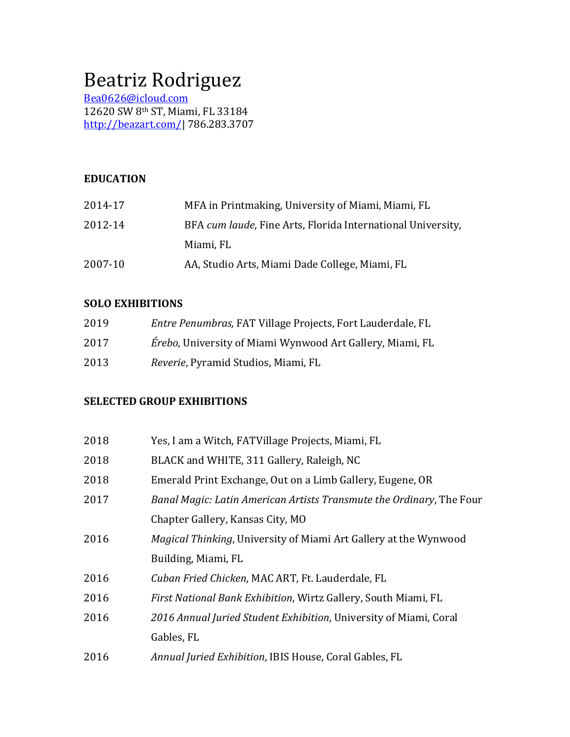# Beatriz Rodriguez

Bea0626@icloud.com 12620 SW 8<sup>th</sup> ST, Miami, FL 33184 http://beazart.com/| 786.283.3707

# **EDUCATION**

| 2014-17 | MFA in Printmaking, University of Miami, Miami, FL          |
|---------|-------------------------------------------------------------|
| 2012-14 | BFA cum laude, Fine Arts, Florida International University, |
|         | Miami, FL                                                   |
| 2007-10 | AA, Studio Arts, Miami Dade College, Miami, FL              |

#### **SOLO EXHIBITIONS**

| 2019 | Entre Penumbras, FAT Village Projects, Fort Lauderdale, FL        |
|------|-------------------------------------------------------------------|
| 2017 | <i>Érebo</i> , University of Miami Wynwood Art Gallery, Miami, FL |
| 2013 | <i>Reverie, Pyramid Studios, Miami, FL</i>                        |

#### **SELECTED GROUP EXHIBITIONS**

| 2018 | Yes, I am a Witch, FATVillage Projects, Miami, FL                       |
|------|-------------------------------------------------------------------------|
| 2018 | BLACK and WHITE, 311 Gallery, Raleigh, NC                               |
| 2018 | Emerald Print Exchange, Out on a Limb Gallery, Eugene, OR               |
| 2017 | Banal Magic: Latin American Artists Transmute the Ordinary, The Four    |
|      | Chapter Gallery, Kansas City, MO                                        |
| 2016 | <i>Magical Thinking, University of Miami Art Gallery at the Wynwood</i> |
|      | Building, Miami, FL                                                     |
| 2016 | Cuban Fried Chicken, MAC ART, Ft. Lauderdale, FL                        |
| 2016 | First National Bank Exhibition, Wirtz Gallery, South Miami, FL          |
| 2016 | 2016 Annual Juried Student Exhibition, University of Miami, Coral       |
|      | Gables, FL                                                              |
| 2016 | Annual Juried Exhibition, IBIS House, Coral Gables, FL                  |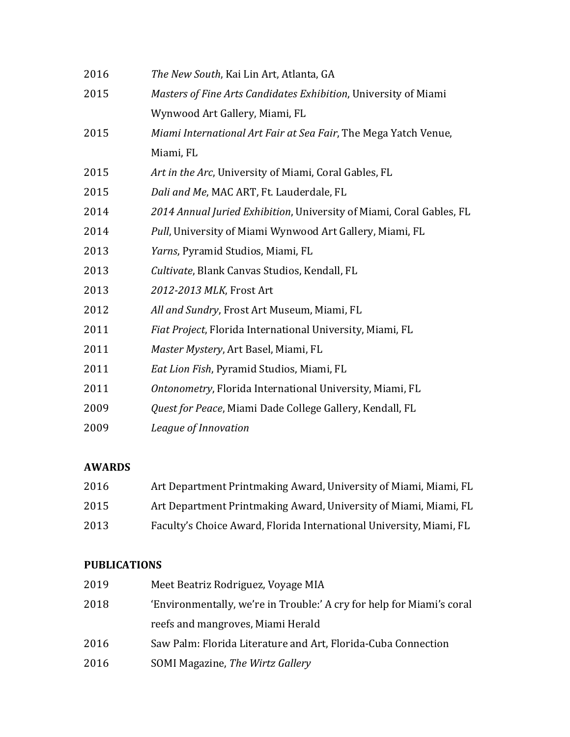| 2016 | The New South, Kai Lin Art, Atlanta, GA                              |
|------|----------------------------------------------------------------------|
| 2015 | Masters of Fine Arts Candidates Exhibition, University of Miami      |
|      | Wynwood Art Gallery, Miami, FL                                       |
| 2015 | Miami International Art Fair at Sea Fair, The Mega Yatch Venue,      |
|      | Miami, FL                                                            |
| 2015 | Art in the Arc, University of Miami, Coral Gables, FL                |
| 2015 | Dali and Me, MAC ART, Ft. Lauderdale, FL                             |
| 2014 | 2014 Annual Juried Exhibition, University of Miami, Coral Gables, FL |
| 2014 | Pull, University of Miami Wynwood Art Gallery, Miami, FL             |
| 2013 | Yarns, Pyramid Studios, Miami, FL                                    |
| 2013 | Cultivate, Blank Canvas Studios, Kendall, FL                         |
| 2013 | 2012-2013 MLK, Frost Art                                             |
| 2012 | All and Sundry, Frost Art Museum, Miami, FL                          |
| 2011 | Fiat Project, Florida International University, Miami, FL            |
| 2011 | Master Mystery, Art Basel, Miami, FL                                 |
| 2011 | Eat Lion Fish, Pyramid Studios, Miami, FL                            |
| 2011 | Ontonometry, Florida International University, Miami, FL             |
| 2009 | Quest for Peace, Miami Dade College Gallery, Kendall, FL             |
| 2009 | League of Innovation                                                 |

# **AWARDS**

| 2016 | Art Department Printmaking Award, University of Miami, Miami, FL    |
|------|---------------------------------------------------------------------|
| 2015 | Art Department Printmaking Award, University of Miami, Miami, FL    |
| 2013 | Faculty's Choice Award, Florida International University, Miami, FL |

# **PUBLICATIONS**

| 2019 | Meet Beatriz Rodriguez, Voyage MIA                                    |
|------|-----------------------------------------------------------------------|
| 2018 | 'Environmentally, we're in Trouble:' A cry for help for Miami's coral |
|      | reefs and mangroves, Miami Herald                                     |
| 2016 | Saw Palm: Florida Literature and Art, Florida-Cuba Connection         |
| 2016 | SOMI Magazine, The Wirtz Gallery                                      |